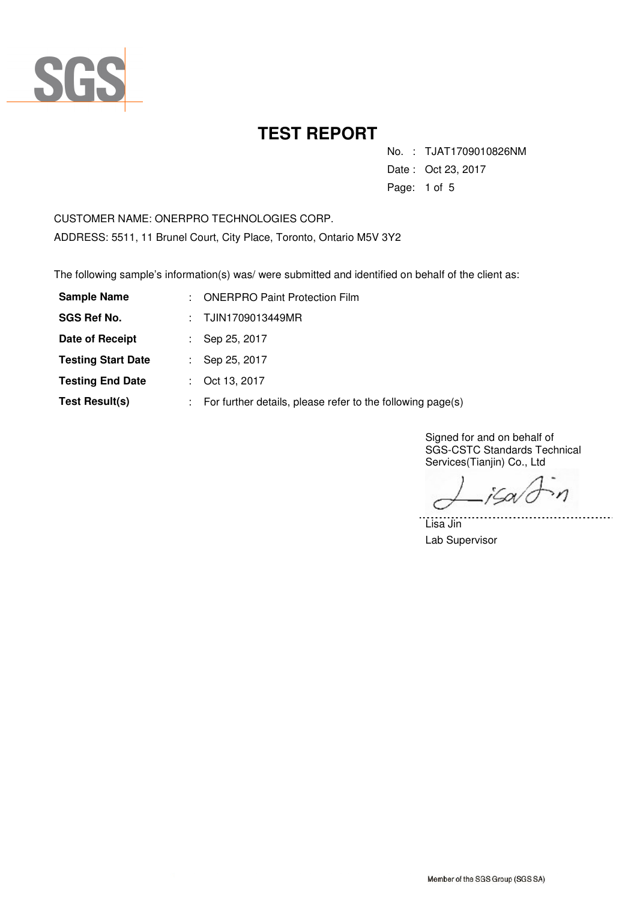

No. : TJAT1709010826NM

Date : Oct 23, 2017

Page: 1 of 5

CUSTOMER NAME: ONERPRO TECHNOLOGIES CORP. ADDRESS: 5511, 11 Brunel Court, City Place, Toronto, Ontario M5V 3Y2

The following sample's information(s) was/ were submitted and identified on behalf of the client as:

| <b>Sample Name</b>        | ÷. | <b>ONERPRO Paint Protection Film</b>                       |  |
|---------------------------|----|------------------------------------------------------------|--|
| <b>SGS Ref No.</b>        |    | TJIN1709013449MR                                           |  |
| Date of Receipt           |    | Sep 25, 2017                                               |  |
| <b>Testing Start Date</b> |    | Sep 25, 2017                                               |  |
| <b>Testing End Date</b>   | t. | Oct 13, 2017                                               |  |
| <b>Test Result(s)</b>     | ÷. | For further details, please refer to the following page(s) |  |

Signed for and on behalf of SGS-CSTC Standards Technical Services(Tianjin) Co., Ltd

iSov  $\mathcal{M}$ 

. . . . . . .

Lisa Jin Lab Supervisor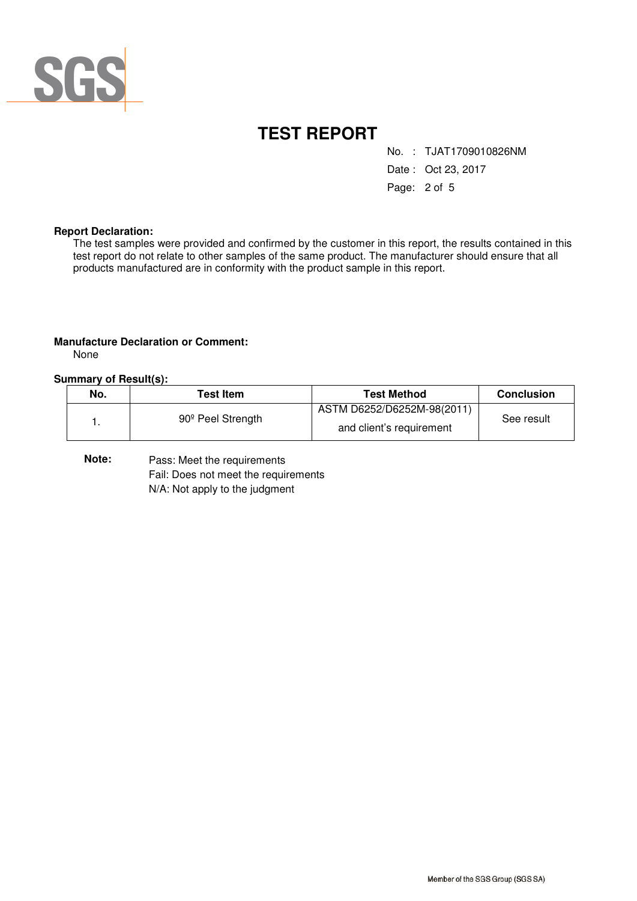

No. : TJAT1709010826NM

Date : Oct 23, 2017

Page: 2 of 5

#### **Report Declaration:**

The test samples were provided and confirmed by the customer in this report, the results contained in this test report do not relate to other samples of the same product. The manufacturer should ensure that all products manufactured are in conformity with the product sample in this report.

#### **Manufacture Declaration or Comment:**

None

#### **Summary of Result(s):**

| No. | <b>Test Item</b>              | <b>Test Method</b>                                     | <b>Conclusion</b> |
|-----|-------------------------------|--------------------------------------------------------|-------------------|
|     | 90 <sup>°</sup> Peel Strength | ASTM D6252/D6252M-98(2011)<br>and client's requirement | See result        |

**Note:** Pass: Meet the requirements Fail: Does not meet the requirements N/A: Not apply to the judgment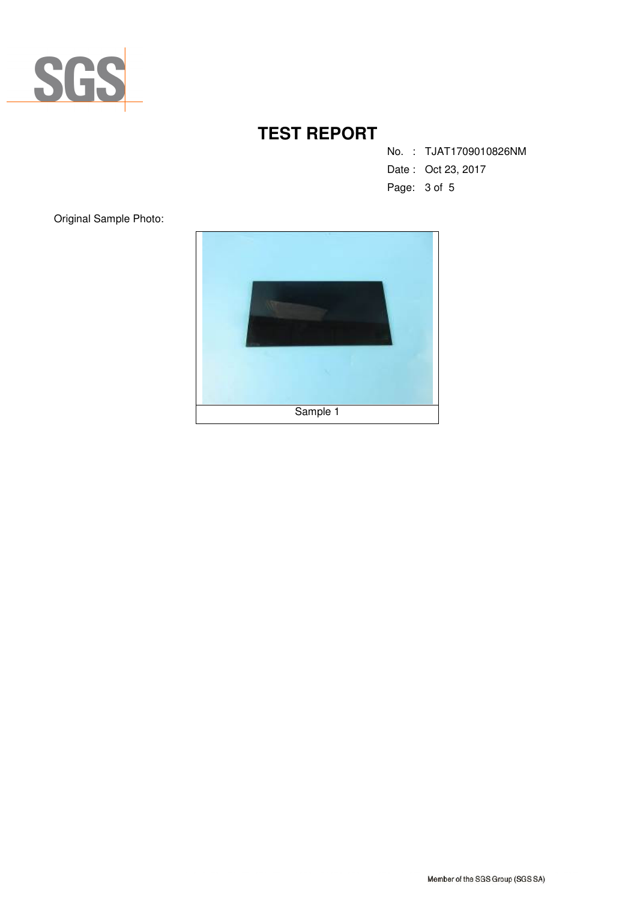

No. : TJAT1709010826NM

Date : Oct 23, 2017

Page: 3 of 5

Original Sample Photo:

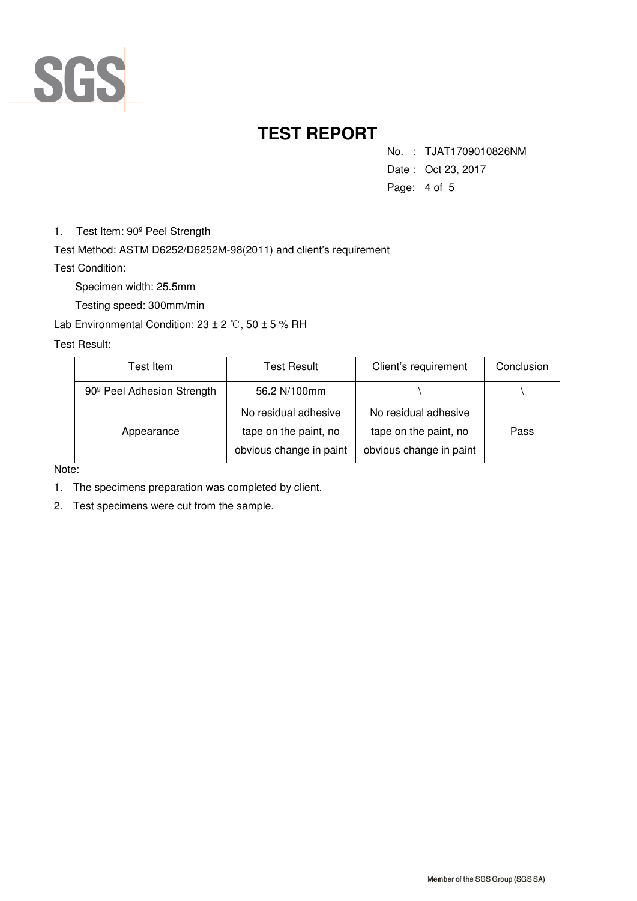

No. : TJAT1709010826NM

Date : Oct 23, 2017

Page: 4 of 5

1. Test Item: 90º Peel Strength

Test Method: ASTM D6252/D6252M-98(2011) and client's requirement

Test Condition:

Specimen width: 25.5mm

Testing speed: 300mm/min

Lab Environmental Condition:  $23 \pm 2$  °C,  $50 \pm 5$  % RH

Test Result:

| Test Item.                             | Test Result             | Client's requirement    | Conclusion |
|----------------------------------------|-------------------------|-------------------------|------------|
| 90 <sup>°</sup> Peel Adhesion Strength | 56.2 N/100mm            |                         |            |
|                                        | No residual adhesive    | No residual adhesive    |            |
| Appearance                             | tape on the paint, no   | tape on the paint, no   | Pass       |
|                                        | obvious change in paint | obvious change in paint |            |

Note:

1. The specimens preparation was completed by client.

2. Test specimens were cut from the sample.